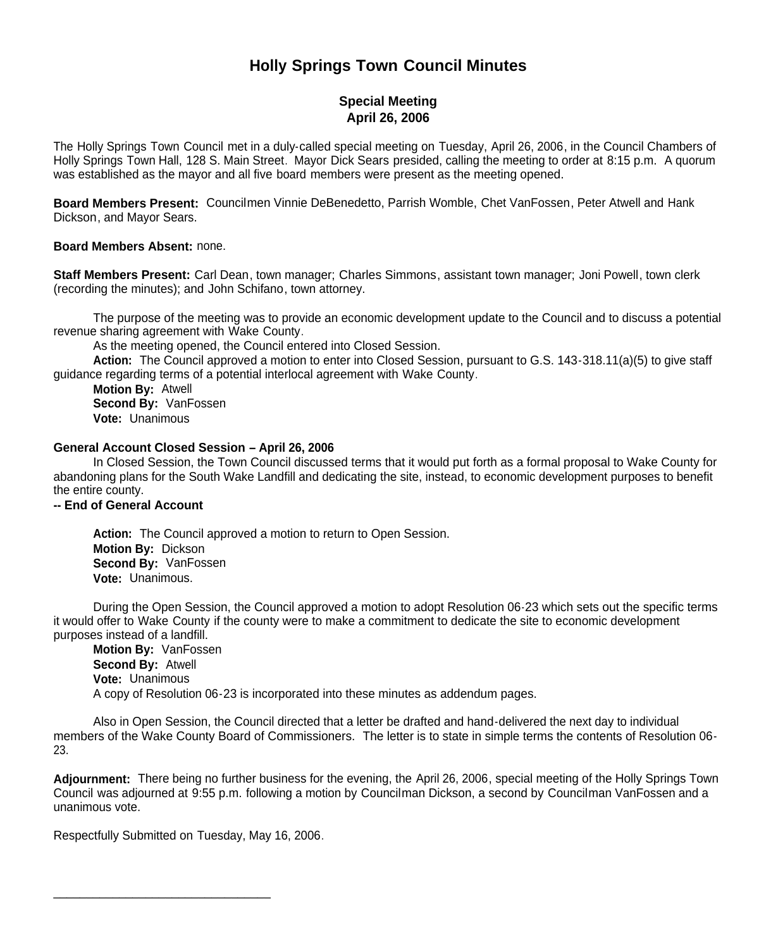## **Holly Springs Town Council Minutes**

## **Special Meeting April 26, 2006**

The Holly Springs Town Council met in a duly-called special meeting on Tuesday, April 26, 2006, in the Council Chambers of Holly Springs Town Hall, 128 S. Main Street. Mayor Dick Sears presided, calling the meeting to order at 8:15 p.m. A quorum was established as the mayor and all five board members were present as the meeting opened.

**Board Members Present:** Councilmen Vinnie DeBenedetto, Parrish Womble, Chet VanFossen, Peter Atwell and Hank Dickson, and Mayor Sears.

## **Board Members Absent:** none.

**Staff Members Present:** Carl Dean, town manager; Charles Simmons, assistant town manager; Joni Powell, town clerk (recording the minutes); and John Schifano, town attorney.

The purpose of the meeting was to provide an economic development update to the Council and to discuss a potential revenue sharing agreement with Wake County.

As the meeting opened, the Council entered into Closed Session.

**Action:** The Council approved a motion to enter into Closed Session, pursuant to G.S. 143-318.11(a)(5) to give staff guidance regarding terms of a potential interlocal agreement with Wake County.

**Motion By:** Atwell **Second By:** VanFossen **Vote:** Unanimous

## **General Account Closed Session – April 26, 2006**

In Closed Session, the Town Council discussed terms that it would put forth as a formal proposal to Wake County for abandoning plans for the South Wake Landfill and dedicating the site, instead, to economic development purposes to benefit the entire county.

**-- End of General Account**

**Action:** The Council approved a motion to return to Open Session. **Motion By:** Dickson **Second By:** VanFossen **Vote:** Unanimous.

During the Open Session, the Council approved a motion to adopt Resolution 06-23 which sets out the specific terms it would offer to Wake County if the county were to make a commitment to dedicate the site to economic development purposes instead of a landfill.

**Motion By:** VanFossen **Second By:** Atwell **Vote:** Unanimous A copy of Resolution 06-23 is incorporated into these minutes as addendum pages.

Also in Open Session, the Council directed that a letter be drafted and hand-delivered the next day to individual members of the Wake County Board of Commissioners. The letter is to state in simple terms the contents of Resolution 06- 23.

**Adjournment:** There being no further business for the evening, the April 26, 2006, special meeting of the Holly Springs Town Council was adjourned at 9:55 p.m. following a motion by Councilman Dickson, a second by Councilman VanFossen and a unanimous vote.

Respectfully Submitted on Tuesday, May 16, 2006.

\_\_\_\_\_\_\_\_\_\_\_\_\_\_\_\_\_\_\_\_\_\_\_\_\_\_\_\_\_\_\_\_\_